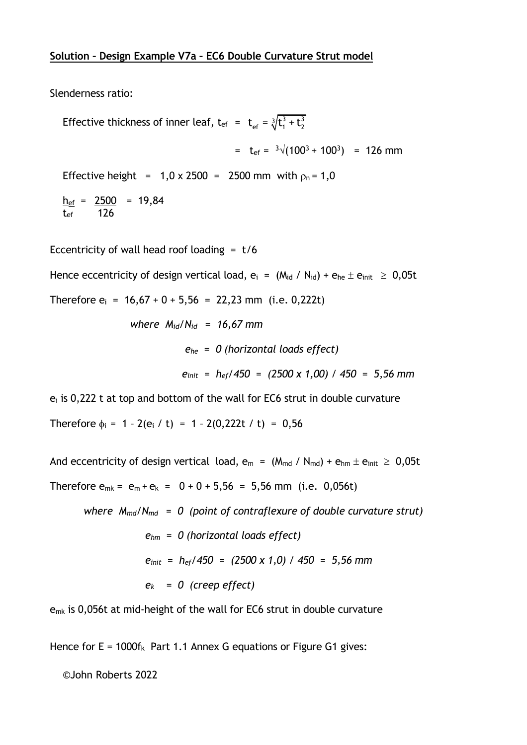Slenderness ratio:

Effective thickness of inner leaf,  $t_{\text{ef}} = t_{\text{ef}} = \sqrt[3]{t_1^3 + t_2^3}$  $=$  t<sub>ef</sub> =  $\sqrt[3]{(100^3 + 100^3)}$  = 126 mm Effective height =  $1,0 \times 2500$  = 2500 mm with  $\rho_n = 1,0$  $h_{\rm ef}$  = 2500 = 19,84  $t_{ef}$  126

Eccentricity of wall head roof loading =  $t/6$ 

Hence eccentricity of design vertical load,  $e_i = (M_{id} / N_{id}) + e_{he} \pm e_{init} \ge 0.05t$ 

Therefore  $e_i = 16,67 + 0 + 5,56 = 22,23$  mm (i.e. 0,222t)

*where Mid/Nid = 16,67 mm*

 *einit = hef/450 = (2500 x 1,00) / 450 = 5,56 mm* 

 *ehe = 0 (horizontal loads effect)*

 $e_i$  is 0,222 t at top and bottom of the wall for EC6 strut in double curvature

Therefore  $\phi_i = 1 - 2(e_i / t) = 1 - 2(0,222t / t) = 0,56$ 

And eccentricity of design vertical load,  $e_m = (M_{md} / N_{md}) + e_{hm} \pm e_{init} \ge 0.05t$ Therefore  $e_{mk} = e_m + e_k = 0 + 0 + 5,56 = 5,56$  mm (i.e. 0,056t)

 *where Mmd/Nmd = 0 (point of contraflexure of double curvature strut) ehm = 0 (horizontal loads effect) einit = hef/450 = (2500 x 1,0) / 450 = 5,56 mm ek = 0 (creep effect)*

e<sub>mk</sub> is 0,056t at mid-height of the wall for EC6 strut in double curvature

Hence for  $E = 1000f_k$  Part 1.1 Annex G equations or Figure G1 gives:

©John Roberts 2022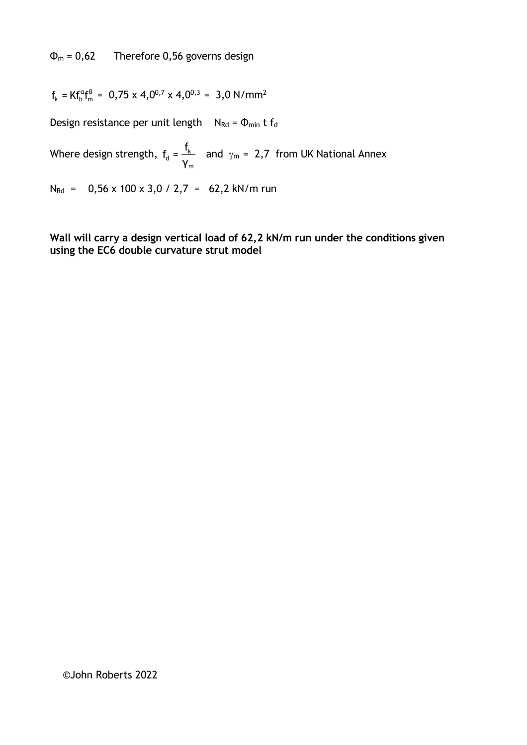$\Phi_m = 0.62$  Therefore 0.56 governs design

$$
f_k = K f_b^{\alpha} f_m^{\beta} = 0.75 \times 4.0^{0.7} \times 4.0^{0.3} = 3.0 \text{ N/mm}^2
$$

Design resistance per unit length  $N_{\text{Rd}} = \Phi_{\text{min}} t f_{\text{d}}$ 

Where design strength,  $f_d = \frac{1}{k}$  and  $\gamma_m = 2.7$  from UK National Annex d m  $f_d = \frac{f_1}{f}$ γ

 $N_{\text{Rd}}$  = 0,56 x 100 x 3,0 / 2,7 = 62,2 kN/m run

**Wall will carry a design vertical load of 62,2 kN/m run under the conditions given using the EC6 double curvature strut model**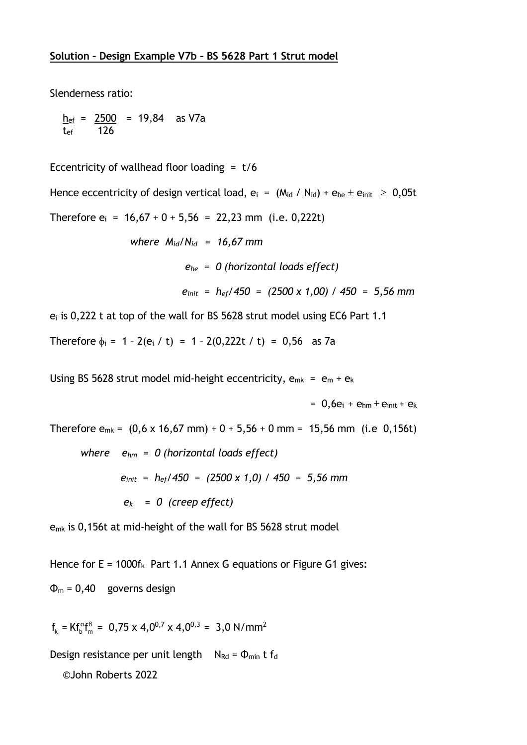Slenderness ratio:

<u>h<sub>ef</sub> = 2500</u> = 19,84 as V7a tef 126

Eccentricity of wallhead floor loading  $= t/6$ 

Hence eccentricity of design vertical load,  $e_i = (M_{id} / N_{id}) + e_{he} \pm e_{init} \ge 0.05t$ Therefore  $e_i = 16,67 + 0 + 5,56 = 22,23$  mm (i.e. 0,222t)

```
 where Mid/Nid = 16,67 mm
ehe = 0 (horizontal loads effect)
einit = hef/450 = (2500 x 1,00) / 450 = 5,56 mm
```
 $e_i$  is 0,222 t at top of the wall for BS 5628 strut model using EC6 Part 1.1

Therefore  $\phi_i = 1 - 2(e_i / t) = 1 - 2(0,222t / t) = 0,56$  as 7a

Using BS 5628 strut model mid-height eccentricity,  $e_{mk} = e_m + e_k$ 

 $= 0.6e_i + e_{hm} \pm e_{init} + e_k$ 

Therefore  $e_{mk} = (0.6 \times 16.67 \text{ mm}) + 0 + 5.56 + 0 \text{ mm} = 15.56 \text{ mm}$  (i.e 0.156t)

 *where ehm = 0 (horizontal loads effect) einit = hef/450 = (2500 x 1,0) / 450 = 5,56 mm ek = 0 (creep effect)*

emk is 0,156t at mid-height of the wall for BS 5628 strut model

Hence for  $E = 1000f_k$  Part 1.1 Annex G equations or Figure G1 gives:  $\Phi_{\rm m}$  = 0,40 governs design

 $f_k = K f_b^{\alpha} f_m^{\beta} = 0.75 \times 4.0^{0.7} \times 4.0^{0.3} = 3.0 \text{ N/mm}^2$ 

Design resistance per unit length  $N_{\text{Rd}} = \Phi_{\text{min}} t f_{\text{d}}$ 

©John Roberts 2022